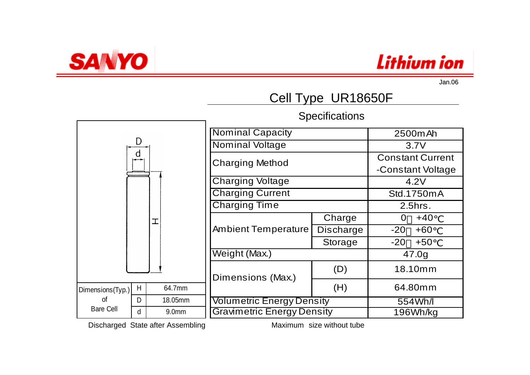



## Cell Type UR18650F

**Specifications** 



Discharged State after Assembling Maximum size without tube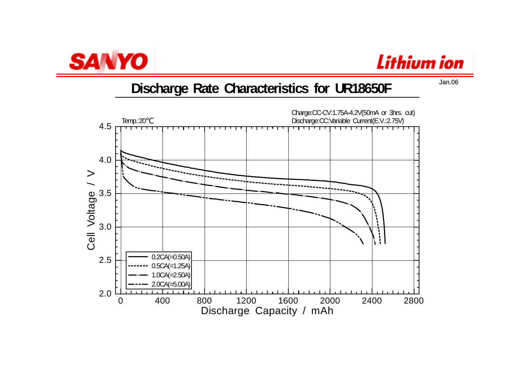



#### **Discharge Rate Characteristics for UR18650F**

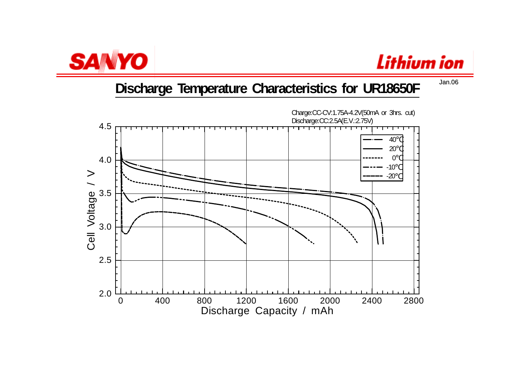



### **Discharge Temperature Characteristics for UR18650F**

0 400 800 1200 1600 2000 2400 2800Discharge Capacity / mAh 2.0 2.53.0 3.5 4.0 4.5Cell Voltage / V Charge:CC-CV:1.75A-4.2V(50mA or 3hrs. cut) Discharge:CC:2.5A(E.V.:2.75V) 40 20 $\Omega$  -10-20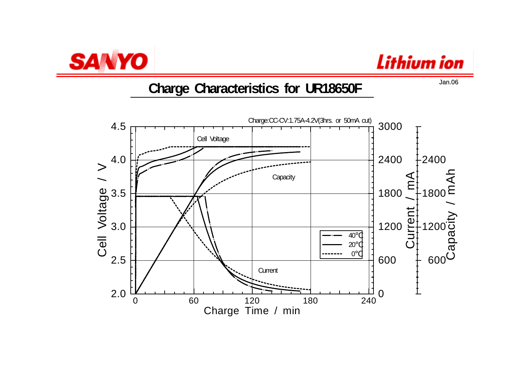



#### **Charge Characteristics for UR18650F**

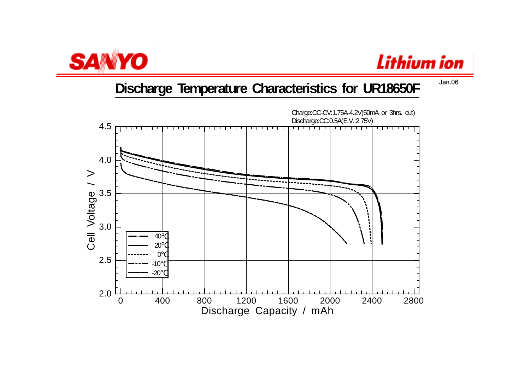

# Lithium ion

### **Discharge Temperature Characteristics for UR18650F**

0 400 800 1200 1600 2000 2400 2800Discharge Capacity / mAh 2.02.53.0 3.5 4.0 4.5Cell Voltage / V Charge:CC-CV:1.75A-4.2V(50mA or 3hrs. cut) Discharge:CC:0.5A(E.V.:2.75V) 40 20  $\Omega$  -10-20

Jan.06